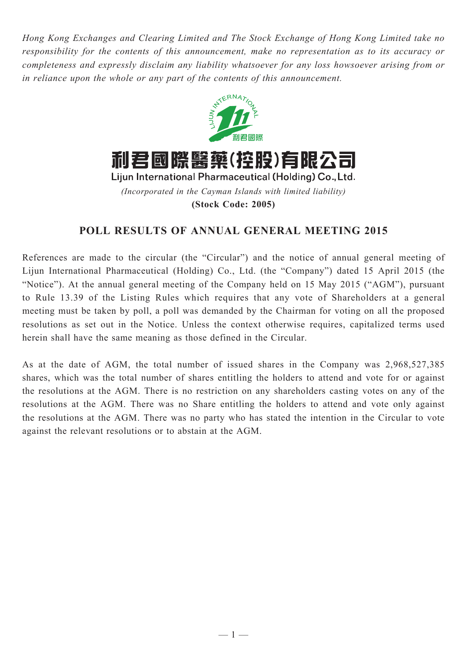*Hong Kong Exchanges and Clearing Limited and The Stock Exchange of Hong Kong Limited take no responsibility for the contents of this announcement, make no representation as to its accuracy or completeness and expressly disclaim any liability whatsoever for any loss howsoever arising from or in reliance upon the whole or any part of the contents of this announcement.*



*(Incorporated in the Cayman Islands with limited liability)* **(Stock Code: 2005)**

## **POLL RESULTS OF ANNUAL GENERAL MEETING 2015**

References are made to the circular (the "Circular") and the notice of annual general meeting of Lijun International Pharmaceutical (Holding) Co., Ltd. (the "Company") dated 15 April 2015 (the "Notice"). At the annual general meeting of the Company held on 15 May 2015 ("AGM"), pursuant to Rule 13.39 of the Listing Rules which requires that any vote of Shareholders at a general meeting must be taken by poll, a poll was demanded by the Chairman for voting on all the proposed resolutions as set out in the Notice. Unless the context otherwise requires, capitalized terms used herein shall have the same meaning as those defined in the Circular.

As at the date of AGM, the total number of issued shares in the Company was 2,968,527,385 shares, which was the total number of shares entitling the holders to attend and vote for or against the resolutions at the AGM. There is no restriction on any shareholders casting votes on any of the resolutions at the AGM. There was no Share entitling the holders to attend and vote only against the resolutions at the AGM. There was no party who has stated the intention in the Circular to vote against the relevant resolutions or to abstain at the AGM.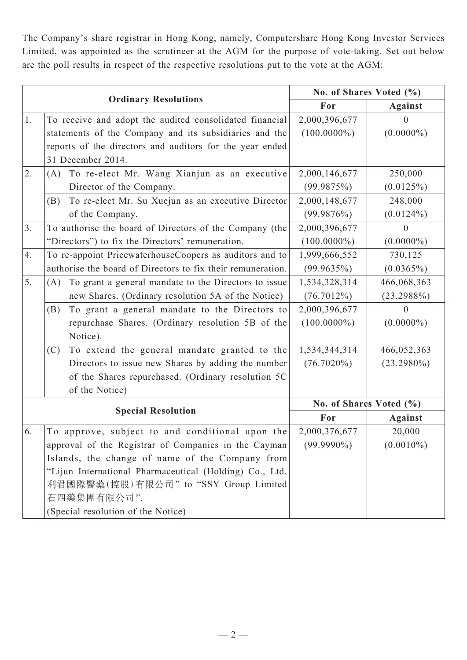The Company's share registrar in Hong Kong, namely, Computershare Hong Kong Investor Services Limited, was appointed as the scrutineer at the AGM for the purpose of vote-taking. Set out below are the poll results in respect of the respective resolutions put to the vote at the AGM:

| <b>Ordinary Resolutions</b> |                                                             | No. of Shares Voted (%) |                |
|-----------------------------|-------------------------------------------------------------|-------------------------|----------------|
|                             |                                                             | For                     | <b>Against</b> |
| 1.                          | To receive and adopt the audited consolidated financial     | 2,000,396,677           | $\mathbf{0}$   |
|                             | statements of the Company and its subsidiaries and the      | $(100.0000\%)$          | $(0.0000\%)$   |
|                             | reports of the directors and auditors for the year ended    |                         |                |
|                             | 31 December 2014.                                           |                         |                |
| 2.                          | To re-elect Mr. Wang Xianjun as an executive<br>(A)         | 2,000,146,677           | 250,000        |
|                             | Director of the Company.                                    | (99.9875%)              | (0.0125%)      |
|                             | To re-elect Mr. Su Xuejun as an executive Director<br>(B)   | 2,000,148,677           | 248,000        |
|                             | of the Company.                                             | (99.9876%)              | $(0.0124\%)$   |
| 3 <sub>1</sub>              | To authorise the board of Directors of the Company (the     | 2,000,396,677           | $\overline{0}$ |
|                             | "Directors") to fix the Directors' remuneration.            | $(100.0000\%)$          | $(0.0000\%)$   |
| 4.                          | To re-appoint PricewaterhouseCoopers as auditors and to     | 1,999,666,552           | 730,125        |
|                             | authorise the board of Directors to fix their remuneration. | (99.9635%)              | $(0.0365\%)$   |
| 5.                          | To grant a general mandate to the Directors to issue<br>(A) | 1,534,328,314           | 466,068,363    |
|                             | new Shares. (Ordinary resolution 5A of the Notice)          | $(76.7012\%)$           | $(23.2988\%)$  |
|                             | To grant a general mandate to the Directors to<br>(B)       | 2,000,396,677           | $\theta$       |
|                             | repurchase Shares. (Ordinary resolution 5B of the           | $(100.0000\%)$          | $(0.0000\%)$   |
|                             | Notice).                                                    |                         |                |
|                             | To extend the general mandate granted to the<br>(C)         | 1,534,344,314           | 466,052,363    |
|                             | Directors to issue new Shares by adding the number          | $(76.7020\%)$           | $(23.2980\%)$  |
|                             | of the Shares repurchased. (Ordinary resolution 5C          |                         |                |
|                             | of the Notice)                                              |                         |                |
| <b>Special Resolution</b>   |                                                             | No. of Shares Voted (%) |                |
|                             |                                                             | For                     | <b>Against</b> |
| 6.                          | To approve, subject to and conditional upon the             | 2,000,376,677           | 20,000         |
|                             | approval of the Registrar of Companies in the Cayman        | $(99.9990\%)$           | $(0.0010\%)$   |
|                             | Islands, the change of name of the Company from             |                         |                |
|                             | "Lijun International Pharmaceutical (Holding) Co., Ltd.     |                         |                |
|                             | 利君國際醫藥(控股)有限公司" to "SSY Group Limited                       |                         |                |
|                             | 石四藥集團有限公司".                                                 |                         |                |
|                             | (Special resolution of the Notice)                          |                         |                |